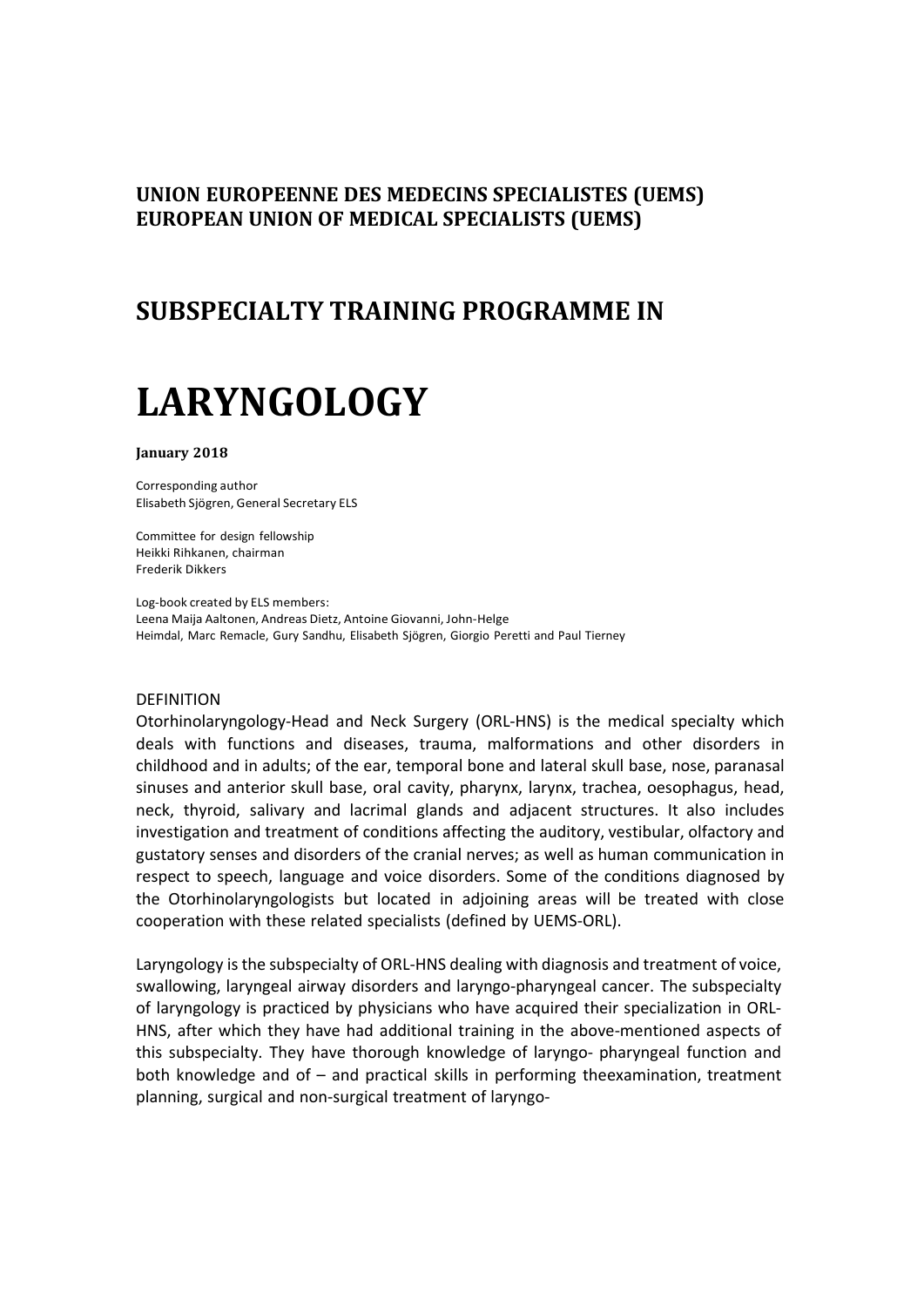## **UNION EUROPEENNE DES MEDECINS SPECIALISTES (UEMS) EUROPEAN UNION OF MEDICAL SPECIALISTS (UEMS)**

# **SUBSPECIALTY TRAINING PROGRAMME IN**

# **LARYNGOLOGY**

#### **January 2018**

Corresponding author Elisabeth Sjögren, General Secretary ELS

Committee for design fellowship Heikki Rihkanen, chairman Frederik Dikkers

Log-book created by ELS members: Leena Maija Aaltonen, Andreas Dietz, Antoine Giovanni, John-Helge Heimdal, Marc Remacle, Gury Sandhu, Elisabeth Sjögren, Giorgio Peretti and Paul Tierney

#### DEFINITION

Otorhinolaryngology-Head and Neck Surgery (ORL-HNS) is the medical specialty which deals with functions and diseases, trauma, malformations and other disorders in childhood and in adults; of the ear, temporal bone and lateral skull base, nose, paranasal sinuses and anterior skull base, oral cavity, pharynx, larynx, trachea, oesophagus, head, neck, thyroid, salivary and lacrimal glands and adjacent structures. It also includes investigation and treatment of conditions affecting the auditory, vestibular, olfactory and gustatory senses and disorders of the cranial nerves; as well as human communication in respect to speech, language and voice disorders. Some of the conditions diagnosed by the Otorhinolaryngologists but located in adjoining areas will be treated with close cooperation with these related specialists (defined by UEMS-ORL).

Laryngology isthe subspecialty of ORL-HNS dealing with diagnosis and treatment of voice, swallowing, laryngeal airway disorders and laryngo-pharyngeal cancer. The subspecialty of laryngology is practiced by physicians who have acquired their specialization in ORL-HNS, after which they have had additional training in the above-mentioned aspects of this subspecialty. They have thorough knowledge of laryngo- pharyngeal function and both knowledge and of – and practical skills in performing theexamination, treatment planning, surgical and non-surgical treatment of laryngo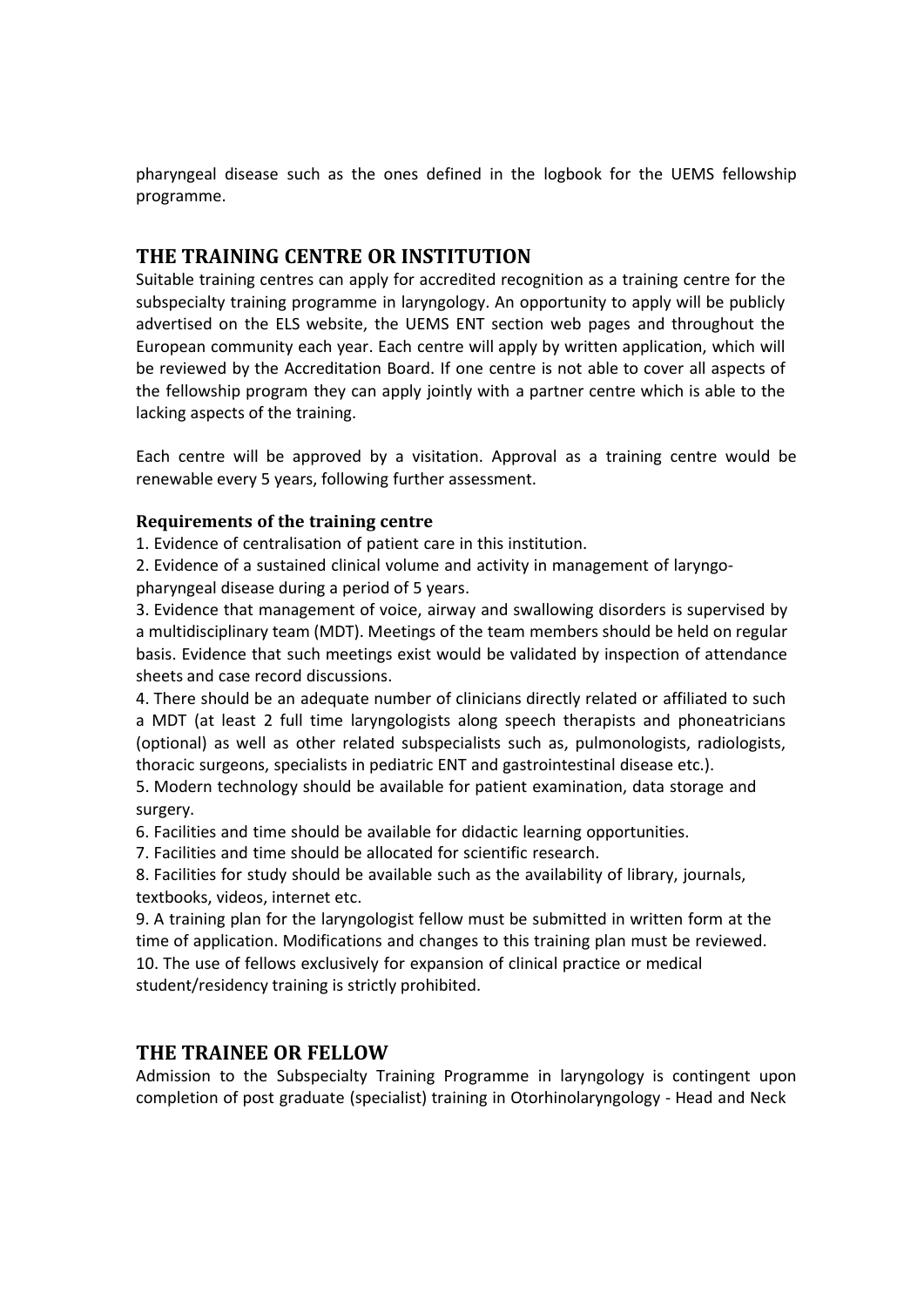pharyngeal disease such as the ones defined in the logbook for the UEMS fellowship programme.

## **THE TRAINING CENTRE OR INSTITUTION**

Suitable training centres can apply for accredited recognition as a training centre for the subspecialty training programme in laryngology. An opportunity to apply will be publicly advertised on the ELS website, the UEMS ENT section web pages and throughout the European community each year. Each centre will apply by written application, which will be reviewed by the Accreditation Board. If one centre is not able to cover all aspects of the fellowship program they can apply jointly with a partner centre which is able to the lacking aspects of the training.

Each centre will be approved by a visitation. Approval as a training centre would be renewable every 5 years, following further assessment.

#### **Requirements of the training centre**

1. Evidence of centralisation of patient care in this institution.

2. Evidence of a sustained clinical volume and activity in management of laryngopharyngeal disease during a period of 5 years.

3. Evidence that management of voice, airway and swallowing disorders is supervised by a multidisciplinary team (MDT). Meetings of the team members should be held on regular basis. Evidence that such meetings exist would be validated by inspection of attendance sheets and case record discussions.

4. There should be an adequate number of clinicians directly related or affiliated to such a MDT (at least 2 full time laryngologists along speech therapists and phoneatricians (optional) as well as other related subspecialists such as, pulmonologists, radiologists, thoracic surgeons, specialists in pediatric ENT and gastrointestinal disease etc.).

5. Modern technology should be available for patient examination, data storage and surgery.

6. Facilities and time should be available for didactic learning opportunities.

7. Facilities and time should be allocated for scientific research.

8. Facilities for study should be available such as the availability of library, journals, textbooks, videos, internet etc.

9. A training plan for the laryngologist fellow must be submitted in written form at the time of application. Modifications and changes to this training plan must be reviewed. 10. The use of fellows exclusively for expansion of clinical practice or medical student/residency training is strictly prohibited.

## **THE TRAINEE OR FELLOW**

Admission to the Subspecialty Training Programme in laryngology is contingent upon completion of post graduate (specialist) training in Otorhinolaryngology - Head and Neck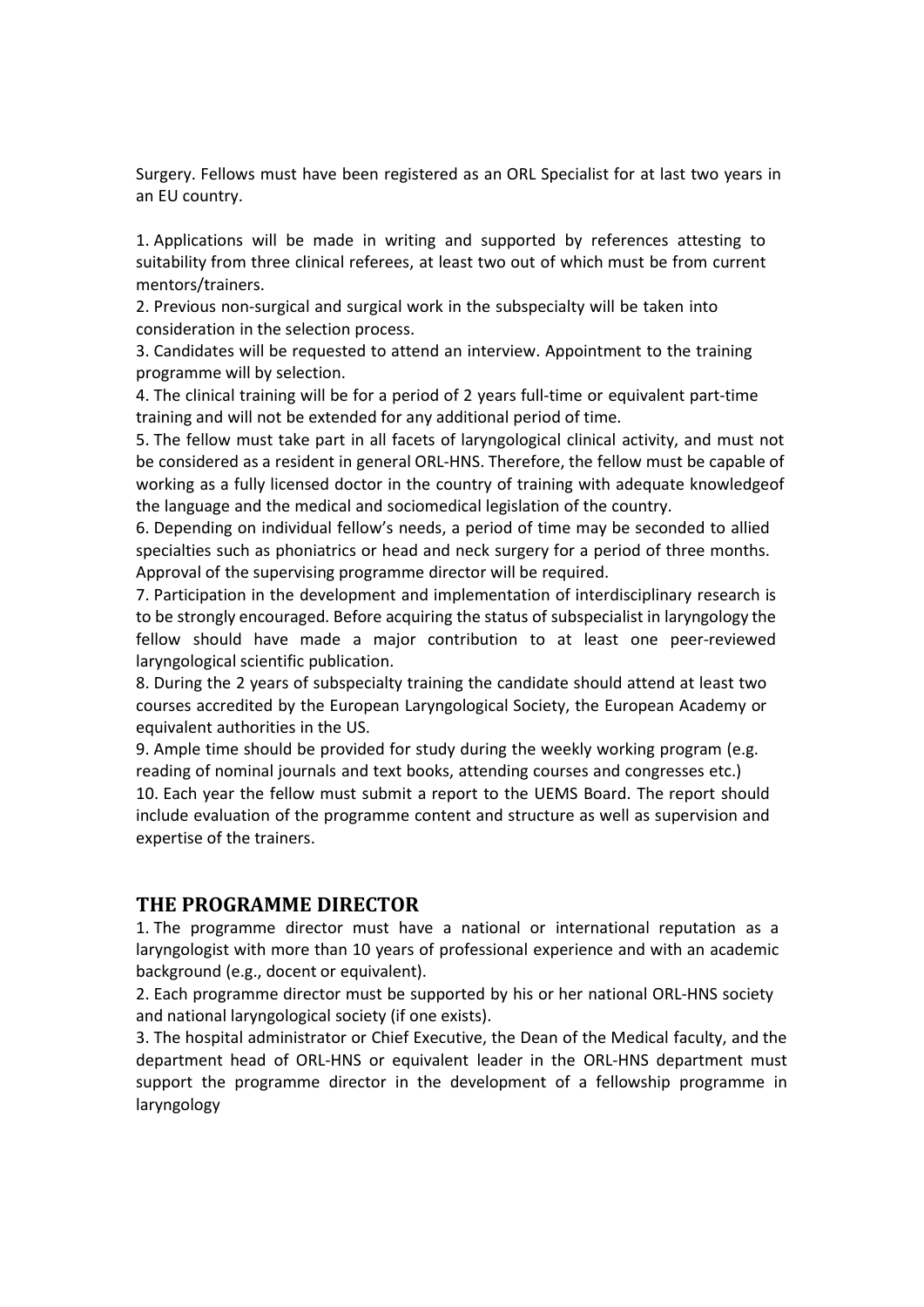Surgery. Fellows must have been registered as an ORL Specialist for at last two years in an EU country.

1. Applications will be made in writing and supported by references attesting to suitability from three clinical referees, at least two out of which must be from current mentors/trainers.

2. Previous non-surgical and surgical work in the subspecialty will be taken into consideration in the selection process.

3. Candidates will be requested to attend an interview. Appointment to the training programme will by selection.

4. The clinical training will be for a period of 2 years full-time or equivalent part-time training and will not be extended for any additional period of time.

5. The fellow must take part in all facets of laryngological clinical activity, and must not be considered as a resident in general ORL-HNS. Therefore, the fellow must be capable of working as a fully licensed doctor in the country of training with adequate knowledgeof the language and the medical and sociomedical legislation of the country.

6. Depending on individual fellow's needs, a period of time may be seconded to allied specialties such as phoniatrics or head and neck surgery for a period of three months. Approval of the supervising programme director will be required.

7. Participation in the development and implementation of interdisciplinary research is to be strongly encouraged. Before acquiring the status of subspecialist in laryngology the fellow should have made a major contribution to at least one peer-reviewed laryngological scientific publication.

8. During the 2 years of subspecialty training the candidate should attend at least two courses accredited by the European Laryngological Society, the European Academy or equivalent authorities in the US.

9. Ample time should be provided for study during the weekly working program (e.g. reading of nominal journals and text books, attending courses and congresses etc.) 10. Each year the fellow must submit a report to the UEMS Board. The report should include evaluation of the programme content and structure as well as supervision and expertise of the trainers.

## **THE PROGRAMME DIRECTOR**

1. The programme director must have a national or international reputation as a laryngologist with more than 10 years of professional experience and with an academic background (e.g., docent or equivalent).

2. Each programme director must be supported by his or her national ORL-HNS society and national laryngological society (if one exists).

3. The hospital administrator or Chief Executive, the Dean of the Medical faculty, and the department head of ORL-HNS or equivalent leader in the ORL-HNS department must support the programme director in the development of a fellowship programme in laryngology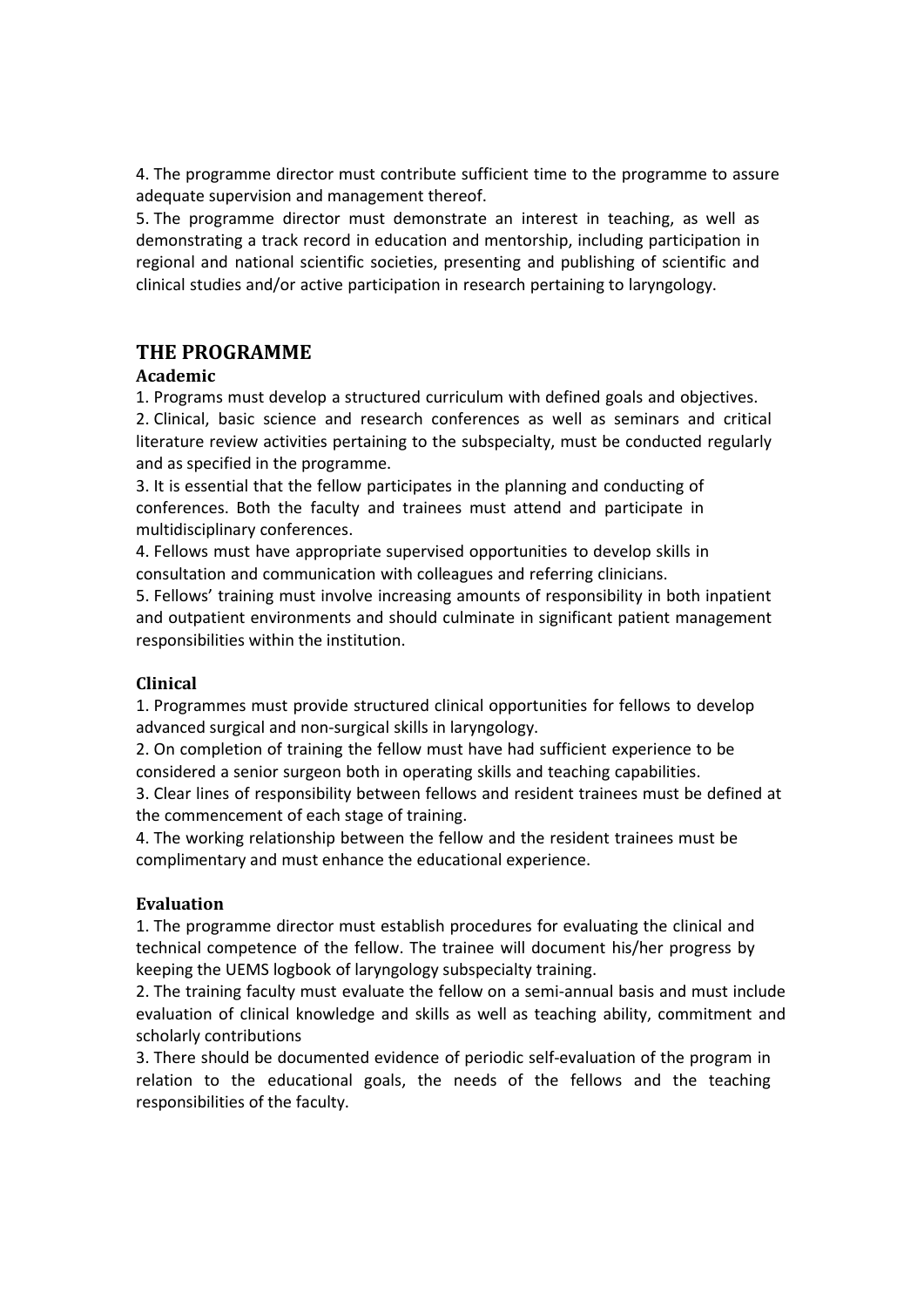4. The programme director must contribute sufficient time to the programme to assure adequate supervision and management thereof.

5. The programme director must demonstrate an interest in teaching, as well as demonstrating a track record in education and mentorship, including participation in regional and national scientific societies, presenting and publishing of scientific and clinical studies and/or active participation in research pertaining to laryngology.

#### **THE PROGRAMME**

#### **Academic**

1. Programs must develop a structured curriculum with defined goals and objectives.

2. Clinical, basic science and research conferences as well as seminars and critical literature review activities pertaining to the subspecialty, must be conducted regularly and as specified in the programme.

3. It is essential that the fellow participates in the planning and conducting of conferences. Both the faculty and trainees must attend and participate in multidisciplinary conferences.

4. Fellows must have appropriate supervised opportunities to develop skills in consultation and communication with colleagues and referring clinicians.

5. Fellows' training must involve increasing amounts of responsibility in both inpatient and outpatient environments and should culminate in significant patient management responsibilities within the institution.

#### **Clinical**

1. Programmes must provide structured clinical opportunities for fellows to develop advanced surgical and non-surgical skills in laryngology.

2. On completion of training the fellow must have had sufficient experience to be considered a senior surgeon both in operating skills and teaching capabilities.

3. Clear lines of responsibility between fellows and resident trainees must be defined at the commencement of each stage of training.

4. The working relationship between the fellow and the resident trainees must be complimentary and must enhance the educational experience.

#### **Evaluation**

1. The programme director must establish procedures for evaluating the clinical and technical competence of the fellow. The trainee will document his/her progress by keeping the UEMS logbook of laryngology subspecialty training.

2. The training faculty must evaluate the fellow on a semi-annual basis and must include evaluation of clinical knowledge and skills as well as teaching ability, commitment and scholarly contributions

3. There should be documented evidence of periodic self-evaluation of the program in relation to the educational goals, the needs of the fellows and the teaching responsibilities of the faculty.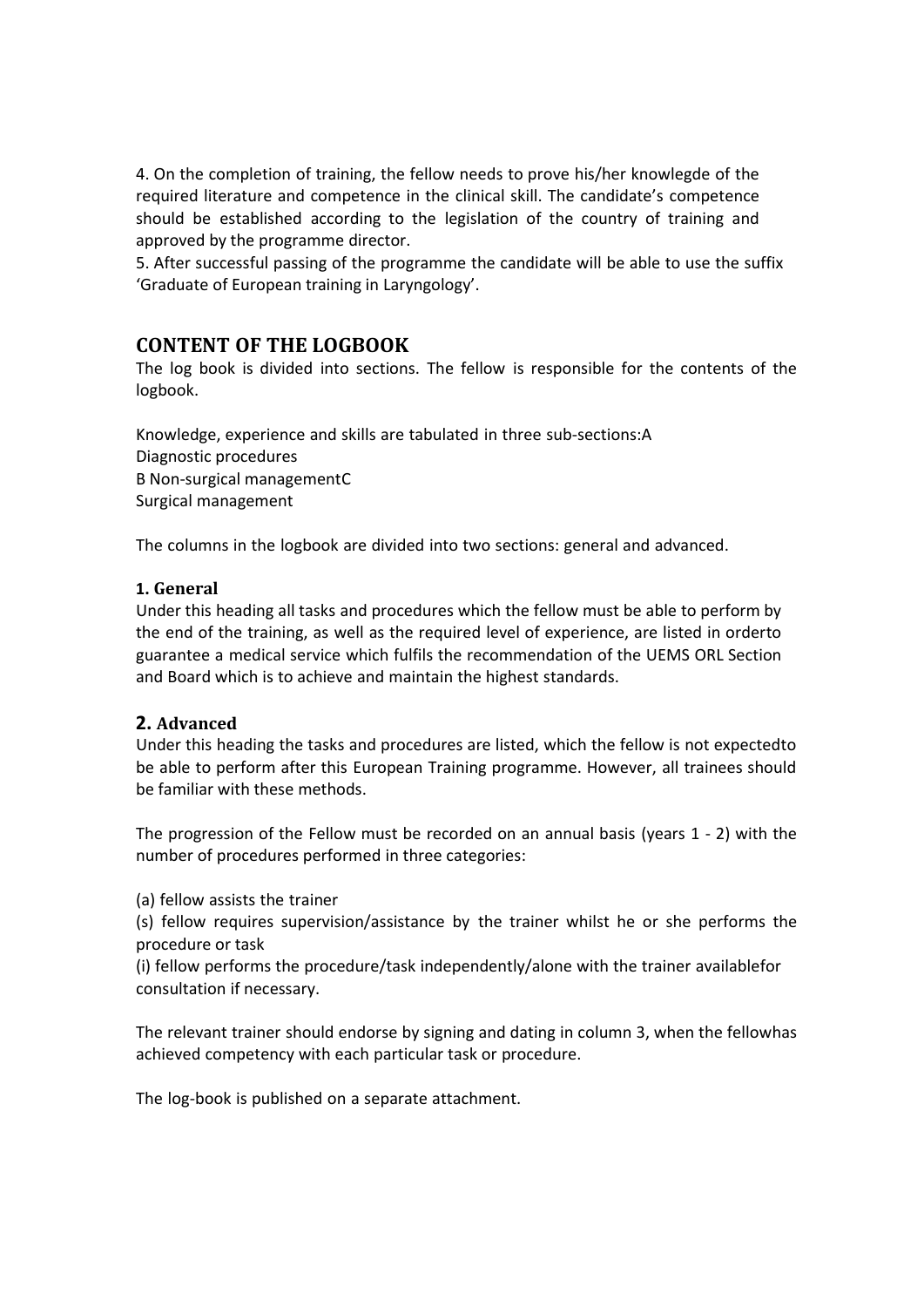4. On the completion of training, the fellow needs to prove his/her knowlegde of the required literature and competence in the clinical skill. The candidate's competence should be established according to the legislation of the country of training and approved by the programme director.

5. After successful passing of the programme the candidate will be able to use the suffix 'Graduate of European training in Laryngology'.

## **CONTENT OF THE LOGBOOK**

The log book is divided into sections. The fellow is responsible for the contents of the logbook.

Knowledge, experience and skills are tabulated in three sub-sections:A Diagnostic procedures B Non-surgical managementC Surgical management

The columns in the logbook are divided into two sections: general and advanced.

#### **1. General**

Under this heading all tasks and procedures which the fellow must be able to perform by the end of the training, as well as the required level of experience, are listed in orderto guarantee a medical service which fulfils the recommendation of the UEMS ORL Section and Board which is to achieve and maintain the highest standards.

## **2. Advanced**

Under this heading the tasks and procedures are listed, which the fellow is not expectedto be able to perform after this European Training programme. However, all trainees should be familiar with these methods.

The progression of the Fellow must be recorded on an annual basis (years 1 - 2) with the number of procedures performed in three categories:

(a) fellow assists the trainer

(s) fellow requires supervision/assistance by the trainer whilst he or she performs the procedure or task

(i) fellow performs the procedure/task independently/alone with the trainer availablefor consultation if necessary.

The relevant trainer should endorse by signing and dating in column 3, when the fellowhas achieved competency with each particular task or procedure.

The log-book is published on a separate attachment.